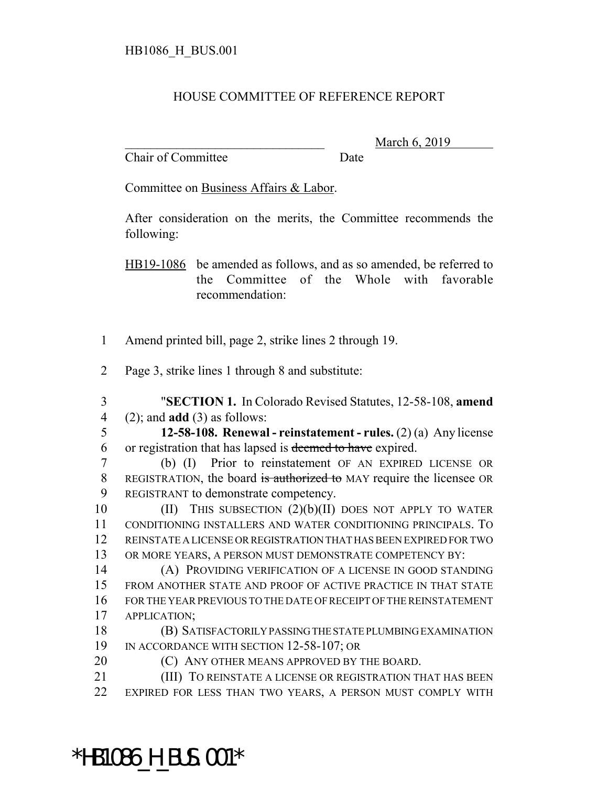## HOUSE COMMITTEE OF REFERENCE REPORT

Chair of Committee Date

March 6, 2019

Committee on Business Affairs & Labor.

After consideration on the merits, the Committee recommends the following:

HB19-1086 be amended as follows, and as so amended, be referred to the Committee of the Whole with favorable recommendation:

- Amend printed bill, page 2, strike lines 2 through 19.
- Page 3, strike lines 1 through 8 and substitute:
- "**SECTION 1.** In Colorado Revised Statutes, 12-58-108, **amend** (2); and **add** (3) as follows:
- **12-58-108. Renewal reinstatement rules.** (2) (a) Any license or registration that has lapsed is deemed to have expired.
- (b) (I) Prior to reinstatement OF AN EXPIRED LICENSE OR REGISTRATION, the board is authorized to MAY require the licensee OR REGISTRANT to demonstrate competency.

 (II) THIS SUBSECTION (2)(b)(II) DOES NOT APPLY TO WATER CONDITIONING INSTALLERS AND WATER CONDITIONING PRINCIPALS. TO REINSTATE A LICENSE OR REGISTRATION THAT HAS BEEN EXPIRED FOR TWO OR MORE YEARS, A PERSON MUST DEMONSTRATE COMPETENCY BY:

 (A) PROVIDING VERIFICATION OF A LICENSE IN GOOD STANDING FROM ANOTHER STATE AND PROOF OF ACTIVE PRACTICE IN THAT STATE FOR THE YEAR PREVIOUS TO THE DATE OF RECEIPT OF THE REINSTATEMENT APPLICATION;

- (B) SATISFACTORILY PASSING THE STATE PLUMBING EXAMINATION 19 IN ACCORDANCE WITH SECTION 12-58-107; OR
- **(C) ANY OTHER MEANS APPROVED BY THE BOARD.**
- (III) TO REINSTATE A LICENSE OR REGISTRATION THAT HAS BEEN EXPIRED FOR LESS THAN TWO YEARS, A PERSON MUST COMPLY WITH

\*HB1086\_H\_BUS.001\*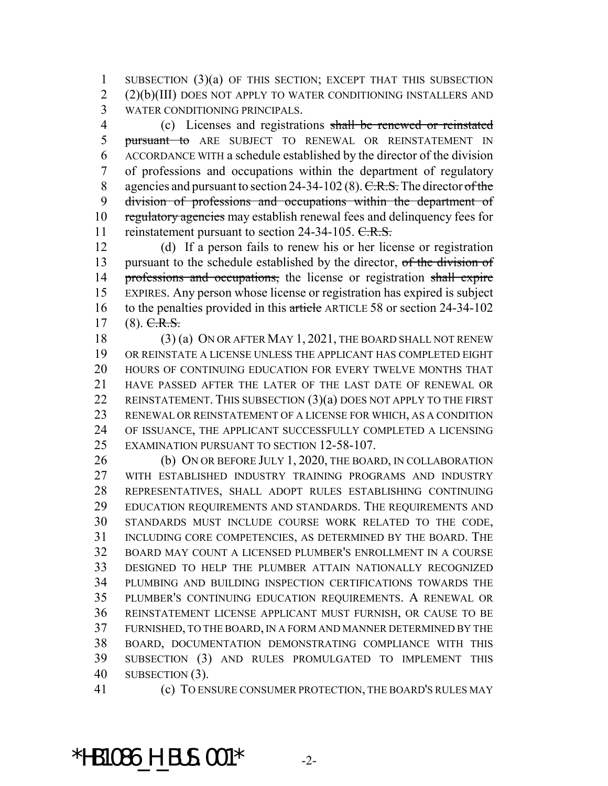SUBSECTION (3)(a) OF THIS SECTION; EXCEPT THAT THIS SUBSECTION (2)(b)(III) DOES NOT APPLY TO WATER CONDITIONING INSTALLERS AND WATER CONDITIONING PRINCIPALS.

 (c) Licenses and registrations shall be renewed or reinstated 5 pursuant to ARE SUBJECT TO RENEWAL OR REINSTATEMENT IN ACCORDANCE WITH a schedule established by the director of the division of professions and occupations within the department of regulatory 8 agencies and pursuant to section 24-34-102 (8).  $C.R.S.$  The director of the division of professions and occupations within the department of 10 regulatory agencies may establish renewal fees and delinquency fees for 11 reinstatement pursuant to section 24-34-105. C.R.S.

 (d) If a person fails to renew his or her license or registration 13 pursuant to the schedule established by the director, of the division of 14 professions and occupations, the license or registration shall expire EXPIRES. Any person whose license or registration has expired is subject 16 to the penalties provided in this article ARTICLE 58 or section 24-34-102 (8). C.R.S.

 (3) (a) ON OR AFTER MAY 1, 2021, THE BOARD SHALL NOT RENEW OR REINSTATE A LICENSE UNLESS THE APPLICANT HAS COMPLETED EIGHT HOURS OF CONTINUING EDUCATION FOR EVERY TWELVE MONTHS THAT HAVE PASSED AFTER THE LATER OF THE LAST DATE OF RENEWAL OR 22 REINSTATEMENT. THIS SUBSECTION (3)(a) DOES NOT APPLY TO THE FIRST RENEWAL OR REINSTATEMENT OF A LICENSE FOR WHICH, AS A CONDITION OF ISSUANCE, THE APPLICANT SUCCESSFULLY COMPLETED A LICENSING EXAMINATION PURSUANT TO SECTION 12-58-107.

26 (b) ON OR BEFORE JULY 1, 2020, THE BOARD, IN COLLABORATION WITH ESTABLISHED INDUSTRY TRAINING PROGRAMS AND INDUSTRY REPRESENTATIVES, SHALL ADOPT RULES ESTABLISHING CONTINUING 29 EDUCATION REQUIREMENTS AND STANDARDS. THE REQUIREMENTS AND STANDARDS MUST INCLUDE COURSE WORK RELATED TO THE CODE, INCLUDING CORE COMPETENCIES, AS DETERMINED BY THE BOARD. THE BOARD MAY COUNT A LICENSED PLUMBER'S ENROLLMENT IN A COURSE DESIGNED TO HELP THE PLUMBER ATTAIN NATIONALLY RECOGNIZED PLUMBING AND BUILDING INSPECTION CERTIFICATIONS TOWARDS THE PLUMBER'S CONTINUING EDUCATION REQUIREMENTS. A RENEWAL OR REINSTATEMENT LICENSE APPLICANT MUST FURNISH, OR CAUSE TO BE FURNISHED, TO THE BOARD, IN A FORM AND MANNER DETERMINED BY THE BOARD, DOCUMENTATION DEMONSTRATING COMPLIANCE WITH THIS SUBSECTION (3) AND RULES PROMULGATED TO IMPLEMENT THIS SUBSECTION (3).

(c) TO ENSURE CONSUMER PROTECTION, THE BOARD'S RULES MAY

\*HB1086 H BUS.001\*  $-2$ -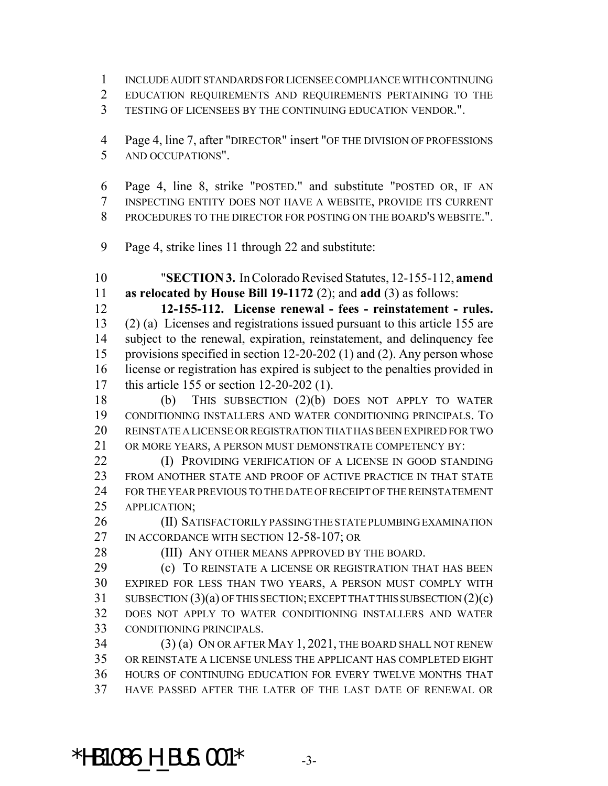- INCLUDE AUDIT STANDARDS FOR LICENSEE COMPLIANCE WITH CONTINUING
- EDUCATION REQUIREMENTS AND REQUIREMENTS PERTAINING TO THE
- TESTING OF LICENSEES BY THE CONTINUING EDUCATION VENDOR.".
- Page 4, line 7, after "DIRECTOR" insert "OF THE DIVISION OF PROFESSIONS AND OCCUPATIONS".
- Page 4, line 8, strike "POSTED." and substitute "POSTED OR, IF AN INSPECTING ENTITY DOES NOT HAVE A WEBSITE, PROVIDE ITS CURRENT PROCEDURES TO THE DIRECTOR FOR POSTING ON THE BOARD'S WEBSITE.".
- Page 4, strike lines 11 through 22 and substitute:

 "**SECTION 3.** In Colorado Revised Statutes, 12-155-112, **amend as relocated by House Bill 19-1172** (2); and **add** (3) as follows:

 **12-155-112. License renewal - fees - reinstatement - rules.** (2) (a) Licenses and registrations issued pursuant to this article 155 are subject to the renewal, expiration, reinstatement, and delinquency fee provisions specified in section 12-20-202 (1) and (2). Any person whose license or registration has expired is subject to the penalties provided in this article 155 or section 12-20-202 (1).

 (b) THIS SUBSECTION (2)(b) DOES NOT APPLY TO WATER CONDITIONING INSTALLERS AND WATER CONDITIONING PRINCIPALS. TO REINSTATE A LICENSE OR REGISTRATION THAT HAS BEEN EXPIRED FOR TWO OR MORE YEARS, A PERSON MUST DEMONSTRATE COMPETENCY BY:

**(I) PROVIDING VERIFICATION OF A LICENSE IN GOOD STANDING**  FROM ANOTHER STATE AND PROOF OF ACTIVE PRACTICE IN THAT STATE FOR THE YEAR PREVIOUS TO THE DATE OF RECEIPT OF THE REINSTATEMENT APPLICATION;

 (II) SATISFACTORILY PASSING THE STATE PLUMBING EXAMINATION 27 IN ACCORDANCE WITH SECTION 12-58-107; OR

28 (III) ANY OTHER MEANS APPROVED BY THE BOARD.

 (c) TO REINSTATE A LICENSE OR REGISTRATION THAT HAS BEEN EXPIRED FOR LESS THAN TWO YEARS, A PERSON MUST COMPLY WITH SUBSECTION (3)(a) OF THIS SECTION; EXCEPT THAT THIS SUBSECTION (2)(c) DOES NOT APPLY TO WATER CONDITIONING INSTALLERS AND WATER CONDITIONING PRINCIPALS.

 (3) (a) ON OR AFTER MAY 1, 2021, THE BOARD SHALL NOT RENEW OR REINSTATE A LICENSE UNLESS THE APPLICANT HAS COMPLETED EIGHT HOURS OF CONTINUING EDUCATION FOR EVERY TWELVE MONTHS THAT HAVE PASSED AFTER THE LATER OF THE LAST DATE OF RENEWAL OR

 $*$ HB1086 H BUS.001 $*$  -3-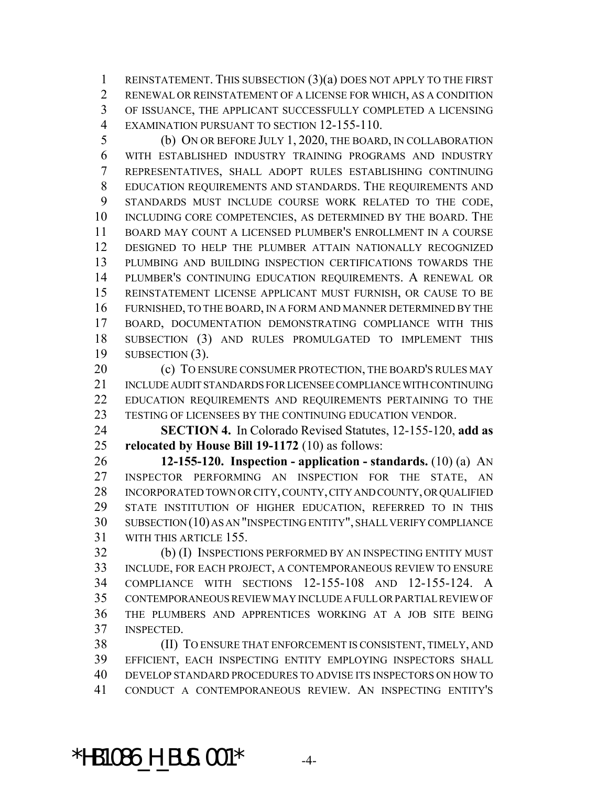REINSTATEMENT. THIS SUBSECTION (3)(a) DOES NOT APPLY TO THE FIRST RENEWAL OR REINSTATEMENT OF A LICENSE FOR WHICH, AS A CONDITION OF ISSUANCE, THE APPLICANT SUCCESSFULLY COMPLETED A LICENSING EXAMINATION PURSUANT TO SECTION 12-155-110.

 (b) ON OR BEFORE JULY 1, 2020, THE BOARD, IN COLLABORATION WITH ESTABLISHED INDUSTRY TRAINING PROGRAMS AND INDUSTRY REPRESENTATIVES, SHALL ADOPT RULES ESTABLISHING CONTINUING EDUCATION REQUIREMENTS AND STANDARDS. THE REQUIREMENTS AND STANDARDS MUST INCLUDE COURSE WORK RELATED TO THE CODE, INCLUDING CORE COMPETENCIES, AS DETERMINED BY THE BOARD. THE BOARD MAY COUNT A LICENSED PLUMBER'S ENROLLMENT IN A COURSE DESIGNED TO HELP THE PLUMBER ATTAIN NATIONALLY RECOGNIZED PLUMBING AND BUILDING INSPECTION CERTIFICATIONS TOWARDS THE PLUMBER'S CONTINUING EDUCATION REQUIREMENTS. A RENEWAL OR REINSTATEMENT LICENSE APPLICANT MUST FURNISH, OR CAUSE TO BE FURNISHED, TO THE BOARD, IN A FORM AND MANNER DETERMINED BY THE BOARD, DOCUMENTATION DEMONSTRATING COMPLIANCE WITH THIS SUBSECTION (3) AND RULES PROMULGATED TO IMPLEMENT THIS SUBSECTION (3).

20 (c) TO ENSURE CONSUMER PROTECTION, THE BOARD'S RULES MAY INCLUDE AUDIT STANDARDS FOR LICENSEE COMPLIANCE WITH CONTINUING EDUCATION REQUIREMENTS AND REQUIREMENTS PERTAINING TO THE TESTING OF LICENSEES BY THE CONTINUING EDUCATION VENDOR.

 **SECTION 4.** In Colorado Revised Statutes, 12-155-120, **add as relocated by House Bill 19-1172** (10) as follows:

 **12-155-120. Inspection - application - standards.** (10) (a) AN INSPECTOR PERFORMING AN INSPECTION FOR THE STATE, AN INCORPORATED TOWN OR CITY, COUNTY, CITY AND COUNTY, OR QUALIFIED STATE INSTITUTION OF HIGHER EDUCATION, REFERRED TO IN THIS SUBSECTION (10) AS AN "INSPECTING ENTITY", SHALL VERIFY COMPLIANCE WITH THIS ARTICLE 155.

 (b) (I) INSPECTIONS PERFORMED BY AN INSPECTING ENTITY MUST INCLUDE, FOR EACH PROJECT, A CONTEMPORANEOUS REVIEW TO ENSURE COMPLIANCE WITH SECTIONS 12-155-108 AND 12-155-124. A CONTEMPORANEOUS REVIEW MAY INCLUDE A FULL OR PARTIAL REVIEW OF THE PLUMBERS AND APPRENTICES WORKING AT A JOB SITE BEING INSPECTED.

 (II) TO ENSURE THAT ENFORCEMENT IS CONSISTENT, TIMELY, AND EFFICIENT, EACH INSPECTING ENTITY EMPLOYING INSPECTORS SHALL DEVELOP STANDARD PROCEDURES TO ADVISE ITS INSPECTORS ON HOW TO CONDUCT A CONTEMPORANEOUS REVIEW. AN INSPECTING ENTITY'S

 $*$ HB1086 H BUS.001 $*$  -4-